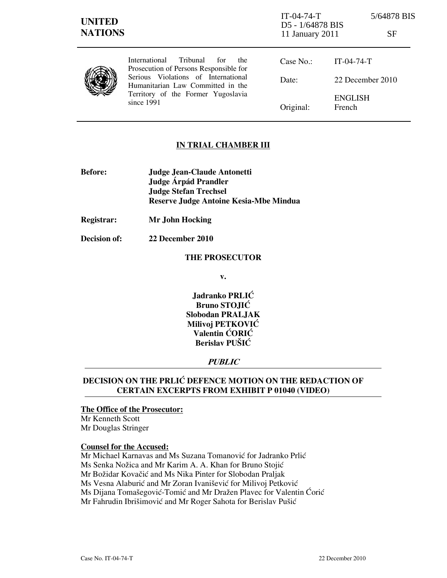| <b>UNITED</b><br><b>NATIONS</b> |                                                                                                                                                                                                                     | $IT-04-74-T$<br>D5 - 1/64878 BIS<br>11 January 2011 |                          | 5/64878 BIS<br>SF |
|---------------------------------|---------------------------------------------------------------------------------------------------------------------------------------------------------------------------------------------------------------------|-----------------------------------------------------|--------------------------|-------------------|
|                                 | Tribunal<br>International<br>for<br>the<br>Prosecution of Persons Responsible for<br>Serious Violations of International<br>Humanitarian Law Committed in the<br>Territory of the Former Yugoslavia<br>since $1991$ | Case No.:                                           | $IT-04-74-T$             |                   |
|                                 |                                                                                                                                                                                                                     | Date:                                               | 22 December 2010         |                   |
|                                 |                                                                                                                                                                                                                     | Original:                                           | <b>ENGLISH</b><br>French |                   |

## IN TRIAL CHAMBER III

- Before: Judge Jean-Claude Antonetti Judge Árpád Prandler Judge Stefan Trechsel Reserve Judge Antoine Kesia-Mbe Mindua
- Registrar: Mr John Hocking

Decision of: 22 December 2010

### THE PROSECUTOR

v.

Jadranko PRLIĆ Bruno STOJIĆ Slobodan PRALJAK Milivoj PETKOVIĆ Valentin ĆORIĆ Berislav PUŠIĆ

## PUBLIC

# DECISION ON THE PRLIĆ DEFENCE MOTION ON THE REDACTION OF CERTAIN EXCERPTS FROM EXHIBIT P 01040 (VIDEO)

## The Office of the Prosecutor:

Mr Kenneth Scott Mr Douglas Stringer

#### Counsel for the Accused:

Mr Michael Karnavas and Ms Suzana Tomanović for Jadranko Prlić Ms Senka Nožica and Mr Karim A. A. Khan for Bruno Stojić Mr Božidar Kovačić and Ms Nika Pinter for Slobodan Praljak Ms Vesna Alaburić and Mr Zoran Ivanišević for Milivoj Petković Ms Dijana Tomašegović-Tomić and Mr Dražen Plavec for Valentin Ćorić Mr Fahrudin Ibrišimović and Mr Roger Sahota for Berislav Pušić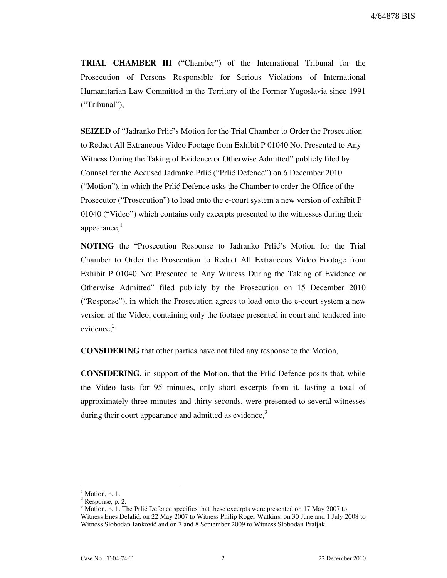TRIAL CHAMBER III ("Chamber") of the International Tribunal for the Prosecution of Persons Responsible for Serious Violations of International Humanitarian Law Committed in the Territory of the Former Yugoslavia since 1991 ("Tribunal"),

**SEIZED** of "Jadranko Prlić's Motion for the Trial Chamber to Order the Prosecution to Redact All Extraneous Video Footage from Exhibit P 01040 Not Presented to Any Witness During the Taking of Evidence or Otherwise Admitted" publicly filed by Counsel for the Accused Jadranko Prlić ("Prlić Defence") on 6 December 2010 ("Motion"), in which the Prlić Defence asks the Chamber to order the Office of the Prosecutor ("Prosecution") to load onto the e-court system a new version of exhibit P 01040 ("Video") which contains only excerpts presented to the witnesses during their appearance, $<sup>1</sup>$ </sup>

NOTING the "Prosecution Response to Jadranko Prlić's Motion for the Trial Chamber to Order the Prosecution to Redact All Extraneous Video Footage from Exhibit P 01040 Not Presented to Any Witness During the Taking of Evidence or Otherwise Admitted" filed publicly by the Prosecution on 15 December 2010 ("Response"), in which the Prosecution agrees to load onto the e-court system a new version of the Video, containing only the footage presented in court and tendered into evidence, $2$ 

CONSIDERING that other parties have not filed any response to the Motion,

CONSIDERING, in support of the Motion, that the Prli} Defence posits that, while the Video lasts for 95 minutes, only short excerpts from it, lasting a total of approximately three minutes and thirty seconds, were presented to several witnesses during their court appearance and admitted as evidence,<sup>3</sup>

 $\overline{a}$ 

 $<sup>1</sup>$  Motion, p. 1.</sup>

 $2$  Response, p. 2.

 $3$  Motion, p. 1. The Prlić Defence specifies that these excerpts were presented on 17 May 2007 to Witness Enes Delalić, on 22 May 2007 to Witness Philip Roger Watkins, on 30 June and 1 July 2008 to Witness Slobodan Janković and on 7 and 8 September 2009 to Witness Slobodan Praljak.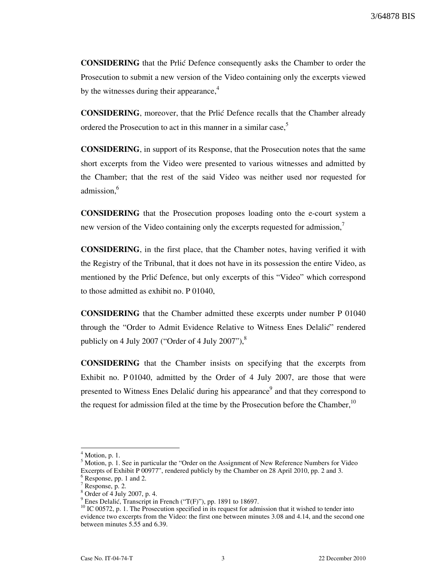CONSIDERING that the Prli} Defence consequently asks the Chamber to order the Prosecution to submit a new version of the Video containing only the excerpts viewed by the witnesses during their appearance, $4$ 

**CONSIDERING**, moreover, that the Prlic Defence recalls that the Chamber already ordered the Prosecution to act in this manner in a similar case,<sup>5</sup>

CONSIDERING, in support of its Response, that the Prosecution notes that the same short excerpts from the Video were presented to various witnesses and admitted by the Chamber; that the rest of the said Video was neither used nor requested for admission.<sup>6</sup>

CONSIDERING that the Prosecution proposes loading onto the e-court system a new version of the Video containing only the excerpts requested for admission,

CONSIDERING, in the first place, that the Chamber notes, having verified it with the Registry of the Tribunal, that it does not have in its possession the entire Video, as mentioned by the Prlić Defence, but only excerpts of this "Video" which correspond to those admitted as exhibit no. P 01040,

CONSIDERING that the Chamber admitted these excerpts under number P 01040 through the "Order to Admit Evidence Relative to Witness Enes Delalic" rendered publicly on 4 July 2007 ("Order of 4 July 2007"), $\frac{8}{3}$ 

CONSIDERING that the Chamber insists on specifying that the excerpts from Exhibit no. P 01040, admitted by the Order of 4 July 2007, are those that were presented to Witness Enes Delalić during his appearance<sup>9</sup> and that they correspond to the request for admission filed at the time by the Prosecution before the Chamber,<sup>10</sup>

 $\overline{a}$ 

 $<sup>4</sup>$  Motion, p. 1.</sup>

<sup>&</sup>lt;sup>5</sup> Motion, p. 1. See in particular the "Order on the Assignment of New Reference Numbers for Video Excerpts of Exhibit P 00977", rendered publicly by the Chamber on 28 April 2010, pp. 2 and 3.

<sup>&</sup>lt;sup>6</sup> Response, pp. 1 and 2.

 $7$  Response, p. 2.

<sup>8</sup> Order of 4 July 2007, p. 4.

 $9$  Enes Delalić, Transcript in French ("T(F)"), pp. 1891 to 18697.

<sup>&</sup>lt;sup>10</sup> IC 00572, p. 1. The Prosecution specified in its request for admission that it wished to tender into evidence two excerpts from the Video: the first one between minutes 3.08 and 4.14, and the second one between minutes 5.55 and 6.39.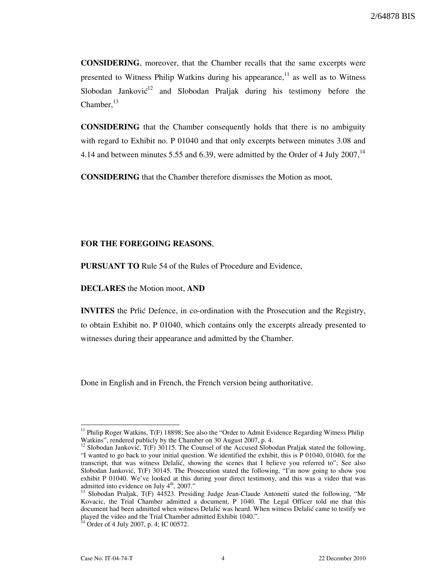CONSIDERING, moreover, that the Chamber recalls that the same excerpts were presented to Witness Philip Watkins during his appearance,  $\frac{11}{11}$  as well as to Witness Slobodan Janković<sup>12</sup> and Slobodan Praljak during his testimony before the Chamber. $^{13}$ 

CONSIDERING that the Chamber consequently holds that there is no ambiguity with regard to Exhibit no. P 01040 and that only excerpts between minutes 3.08 and 4.14 and between minutes 5.55 and 6.39, were admitted by the Order of 4 July 2007, $^{14}$ 

CONSIDERING that the Chamber therefore dismisses the Motion as moot,

#### FOR THE FOREGOING REASONS,

PURSUANT TO Rule 54 of the Rules of Procedure and Evidence,

DECLARES the Motion moot, AND

**INVITES** the Prlić Defence, in co-ordination with the Prosecution and the Registry, to obtain Exhibit no. P 01040, which contains only the excerpts already presented to witnesses during their appearance and admitted by the Chamber.

Done in English and in French, the French version being authoritative.

 $\overline{a}$ 

<sup>&</sup>lt;sup>11</sup> Philip Roger Watkins, T(F) 18898; See also the "Order to Admit Evidence Regarding Witness Philip Watkins", rendered publicly by the Chamber on 30 August 2007, p. 4.

<sup>&</sup>lt;sup>12</sup> Slobodan Janković, T(F) 30115. The Counsel of the Accused Slobodan Praljak stated the following, "I wanted to go back to your initial question. We identified the exhibit, this is P 01040, 01040, for the transcript, that was witness Delalić, showing the scenes that I believe you referred to"; See also Slobodan Janković, T(F) 30145. The Prosecution stated the following, "I'm now going to show you exhibit P 01040. We've looked at this during your direct testimony, and this was a video that was admitted into evidence on July  $4<sup>th</sup>$ , 2007."

<sup>&</sup>lt;sup>3</sup> Slobodan Praljak, T(F) 44523. Presiding Judge Jean-Claude Antonetti stated the following, "Mr Kovacic, the Trial Chamber admitted a document, P 1040. The Legal Officer told me that this document had been admitted when witness Delalić was heard. When witness Delalić came to testify we played the video and the Trial Chamber admitted Exhibit 1040.".

 $14$  Order of 4 July 2007, p. 4; IC 00572.